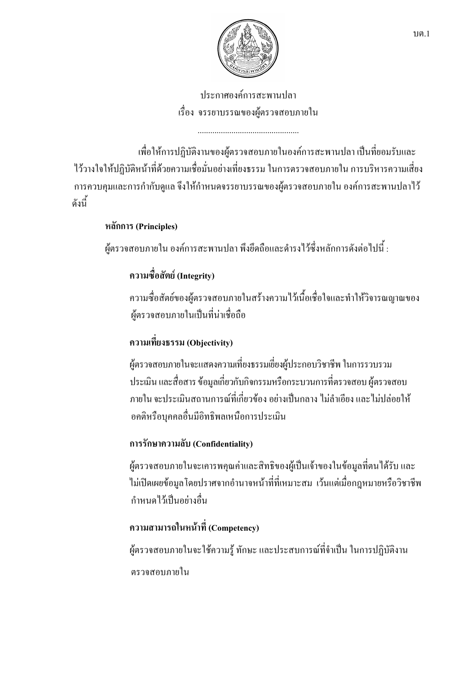

ประกาศองค์การสะพานปลา เรื่อง จรรยาบรรณของผู้ตรวจสอบภายใน

้เพื่อให้การปฏิบัติงานของผู้ตรวจสอบภายในองค์การสะพานปลา เป็นที่ยอมรับและ ไว้วางใจให้ปฏิบัติหน้าที่ด้วยความเชื่อมั่นอย่างเที่ยงธรรม ในการตรวจสอบภายใน การบริหารความเสี่ยง ึการควบคุมและการกำกับดูแล จึงให้กำหนดจรรยาบรรณของผู้ตรวจสอบภายใน องค์การสะพานปลาไว้ ดังนี้

### หลักการ (Principles)

้ผู้ตรวจสอบภายใน องค์การสะพานปลา พึงยึดถือและดำรงไว้ซึ่งหลักการดังต่อไปนี้ :

# ิ ความซื้อสัตย์ (Integrity)

ความซื่อสัตย์ของผู้ตรวจสอบภายในสร้างความไว้เนื้อเชื่อใจและทำให้วิจารณญาณของ ผู้ตรวจสอบภายในเป็นที่น่าเชื่อถือ

## ความเที่ยงธรรม (Objectivity)

ผู้ตรวจสอบภายในจะแสดงความเที่ยงธรรมเยี่ยงผู้ประกอบวิชาชีพ ในการรวบรวม ประเมิน และสื่อสาร ข้อมูลเกี่ยวกับกิจกรรมหรือกระบวนการที่ตรวจสอบ ผู้ตรวจสอบ ึภายใน จะประเมินสถานการณ์ที่เกี่ยวข้อง อย่างเป็นกลาง ไม่ลำเอียง และไม่ปล่อยให้ อคติหรือบุคคลอื่นมีอิทธิพลเหนือการประเมิน

## การรักษาความลับ (Confidentiality)

ผู้ตรวจสอบภายในจะเคารพคุณค่าและสิทธิของผู้เป็นเจ้าของในข้อมูลที่ตนได้รับ และ ไม่เปิดเผยข้อมูลโดยปราศจากอำนาจหน้าที่ที่เหมาะสม เว้นแต่เมื่อกฎหมายหรือวิชาชีพ กำหนดไว้เป็นอย่างอื่น

# ความสามารถในหน้าที่ (Competency)

ผู้ตรวจสอบภายในจะใช้ความรู้ ทักษะ และประสบการณ์ที่จำเป็น ในการปฏิบัติงาน ตรวจสอบภายใน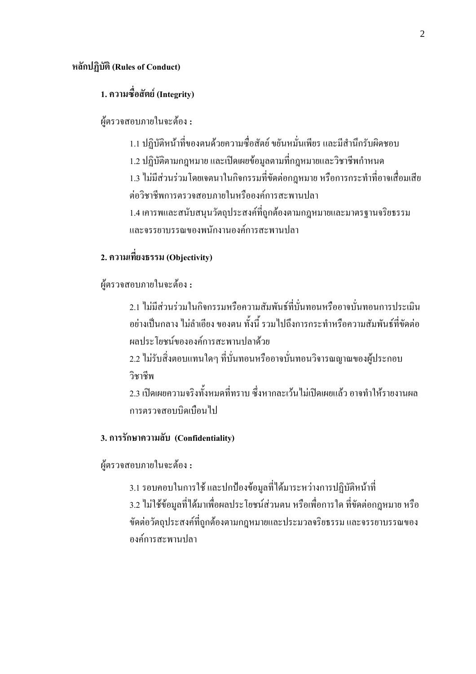#### หลักปฏิบัติ (Rules of Conduct)

### 1. ความซื่อสัตย์ (Integrity)

#### ผู้ตรวจสอบภายในจะต้อง :

1.1 ปฏิบัติหน้าที่ของตนด้วยความซื่อสัตย์ ขยันหมั่นเพียร และมีสำนึกรับผิดชอบ 1.2 ปฏิบัติตามกฎหมาย และเปิดเผยข้อมูลตามที่กฎหมายและวิชาชีพกำหนด 1.3 ไม่มีส่วนร่วมโดยเจตนาในกิจกรรมที่ขัดต่อกฎหมาย หรือการกระทำที่อาจเสื่อมเสีย ต่อวิชาชีพการตรวจสอบภายในหรือองค์การสะพานปลา 1.4 เคารพและสนับสนุนวัตถุประสงค์ที่ถูกต้องตามกฎหมายและมาตรฐานจริยธรรม และจรรยาบรรณของพนักงานองค์การสะพานปลา

### 2. ความเที่ยงธรรม (Objectivity)

ผู้ตรวจสอบภายในจะต้อง :

2.1 ไม่มีส่วนร่วมในกิจกรรมหรือความสัมพันธ์ที่บั่นทอนหรืออาจบั่นทอนการประเมิน ้อย่างเป็นกลาง ไม่ลำเอียง ของตน ทั้งนี้ รวมไปถึงการกระทำหรือความสัมพันธ์ที่ขัดต่อ ผลประโยชบ์ขององค์การสะพาบปลาด้วย

2.2 ไม่รับสิ่งตอบแทนใดๆ ที่บั่นทอนหรืออาจบั่นทอนวิจารณญาณของผู้ประกอบ วิชาชีพ

่ 2 3 เปิดเผยความจริงทั้งหมดที่ทราบ ซึ่งหากละเว้น ไม่เปิดเผยแล้ว อาจทำให้รายงานผล การตรวจสอบบิดเบือนไป

#### 3. การรักษาความลับ (Confidentiality)

ผู้ตรวจสอบภายในจะต้อง :

่ 3.1 รอบคอบในการใช้ และปกป้องข้อมูลที่ได้มาระหว่างการปฏิบัติหน้าที่ 3.2 ไม่ใช้ข้อมลที่ได้มาเพื่อผลประโยชน์ส่วนตน หรือเพื่อการใด ที่ขัดต่อกฎหมาย หรือ ขัดต่อวัตถุประสงค์ที่ถูกต้องตามกฎหมายและประมวลจริยธรรม และจรรยาบรรณของ องค์การสะพานปลา